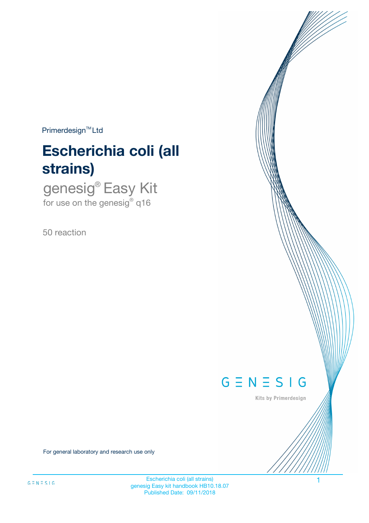$Primerdesign^{\text{TM}}Ltd$ 

# **Escherichia coli (all strains)**

genesig® Easy Kit for use on the genesig $^{\circ}$  q16

50 reaction



Kits by Primerdesign

For general laboratory and research use only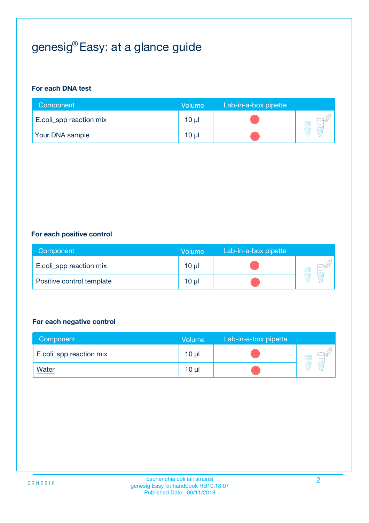# genesig® Easy: at a glance guide

#### **For each DNA test**

| Component               | <b>Volume</b> | Lab-in-a-box pipette |  |
|-------------------------|---------------|----------------------|--|
| E.coli_spp reaction mix | $10 \mu$      |                      |  |
| <b>Your DNA sample</b>  | $10 \mu$      |                      |  |

#### **For each positive control**

| Component                 | Volume          | Lab-in-a-box pipette |  |
|---------------------------|-----------------|----------------------|--|
| E.coli_spp reaction mix   | 10 <sub>µ</sub> |                      |  |
| Positive control template | 10 <sub>µ</sub> |                      |  |

#### **For each negative control**

| Component               | <b>Volume</b>   | Lab-in-a-box pipette |  |
|-------------------------|-----------------|----------------------|--|
| E.coli_spp reaction mix | 10 <sub>µ</sub> |                      |  |
| <u>Water</u>            | 10 <sub>µ</sub> |                      |  |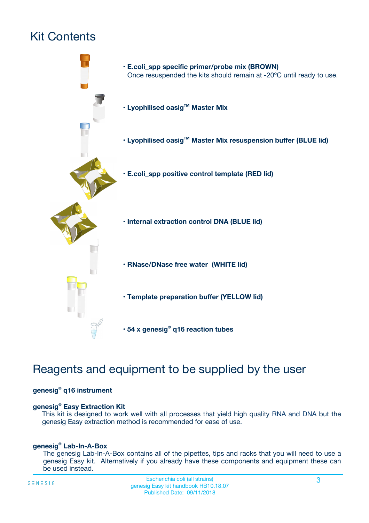# Kit Contents



## Reagents and equipment to be supplied by the user

#### **genesig® q16 instrument**

#### **genesig® Easy Extraction Kit**

This kit is designed to work well with all processes that yield high quality RNA and DNA but the genesig Easy extraction method is recommended for ease of use.

#### **genesig® Lab-In-A-Box**

The genesig Lab-In-A-Box contains all of the pipettes, tips and racks that you will need to use a genesig Easy kit. Alternatively if you already have these components and equipment these can be used instead.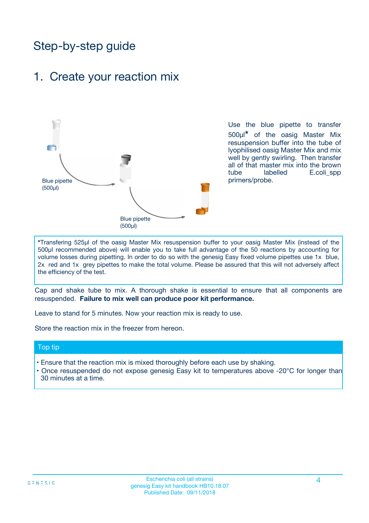## Step-by-step guide

### 1. Create your reaction mix



Use the blue pipette to transfer 500µl**\*** of the oasig Master Mix resuspension buffer into the tube of lyophilised oasig Master Mix and mix well by gently swirling. Then transfer all of that master mix into the brown tube labelled E.coli spp primers/probe.

**\***Transfering 525µl of the oasig Master Mix resuspension buffer to your oasig Master Mix (instead of the 500µl recommended above) will enable you to take full advantage of the 50 reactions by accounting for volume losses during pipetting. In order to do so with the genesig Easy fixed volume pipettes use 1x blue, 2x red and 1x grey pipettes to make the total volume. Please be assured that this will not adversely affect the efficiency of the test.

Cap and shake tube to mix. A thorough shake is essential to ensure that all components are resuspended. **Failure to mix well can produce poor kit performance.**

Leave to stand for 5 minutes. Now your reaction mix is ready to use.

Store the reaction mix in the freezer from hereon.

#### Top tip

- Ensure that the reaction mix is mixed thoroughly before each use by shaking.
- **•** Once resuspended do not expose genesig Easy kit to temperatures above -20°C for longer than 30 minutes at a time.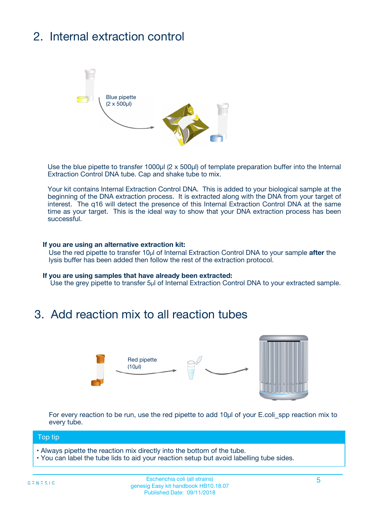# 2. Internal extraction control



Use the blue pipette to transfer 1000µl (2 x 500µl) of template preparation buffer into the Internal Extraction Control DNA tube. Cap and shake tube to mix.

Your kit contains Internal Extraction Control DNA. This is added to your biological sample at the beginning of the DNA extraction process. It is extracted along with the DNA from your target of interest. The q16 will detect the presence of this Internal Extraction Control DNA at the same time as your target. This is the ideal way to show that your DNA extraction process has been successful.

#### **If you are using an alternative extraction kit:**

Use the red pipette to transfer 10µl of Internal Extraction Control DNA to your sample **after** the lysis buffer has been added then follow the rest of the extraction protocol.

#### **If you are using samples that have already been extracted:**

Use the grey pipette to transfer 5µl of Internal Extraction Control DNA to your extracted sample.

## 3. Add reaction mix to all reaction tubes



For every reaction to be run, use the red pipette to add 10µl of your E.coli\_spp reaction mix to every tube.

#### Top tip

- Always pipette the reaction mix directly into the bottom of the tube.
- You can label the tube lids to aid your reaction setup but avoid labelling tube sides.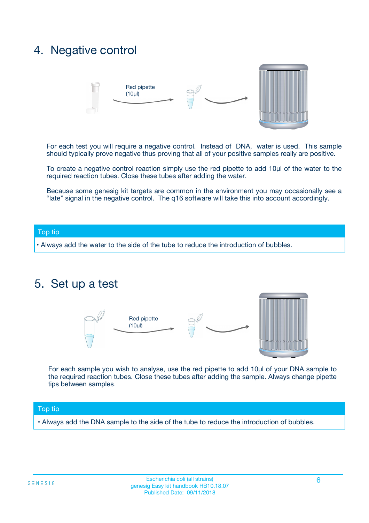## 4. Negative control



For each test you will require a negative control. Instead of DNA, water is used. This sample should typically prove negative thus proving that all of your positive samples really are positive.

To create a negative control reaction simply use the red pipette to add 10µl of the water to the required reaction tubes. Close these tubes after adding the water.

Because some genesig kit targets are common in the environment you may occasionally see a "late" signal in the negative control. The q16 software will take this into account accordingly.

#### Top tip

**•** Always add the water to the side of the tube to reduce the introduction of bubbles.

### 5. Set up a test



For each sample you wish to analyse, use the red pipette to add 10µl of your DNA sample to the required reaction tubes. Close these tubes after adding the sample. Always change pipette tips between samples.

#### Top tip

**•** Always add the DNA sample to the side of the tube to reduce the introduction of bubbles.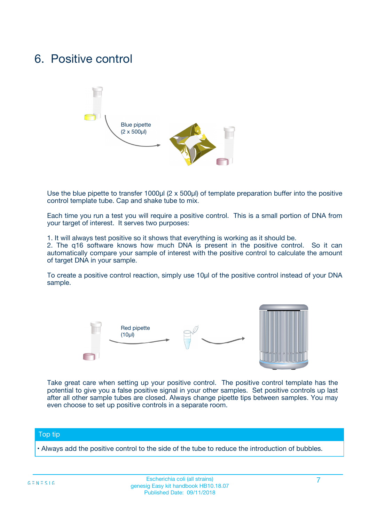## 6. Positive control



Use the blue pipette to transfer 1000µl (2 x 500µl) of template preparation buffer into the positive control template tube. Cap and shake tube to mix.

Each time you run a test you will require a positive control. This is a small portion of DNA from your target of interest. It serves two purposes:

1. It will always test positive so it shows that everything is working as it should be.

2. The q16 software knows how much DNA is present in the positive control. So it can automatically compare your sample of interest with the positive control to calculate the amount of target DNA in your sample.

To create a positive control reaction, simply use 10µl of the positive control instead of your DNA sample.



Take great care when setting up your positive control. The positive control template has the potential to give you a false positive signal in your other samples. Set positive controls up last after all other sample tubes are closed. Always change pipette tips between samples. You may even choose to set up positive controls in a separate room.

#### Top tip

**•** Always add the positive control to the side of the tube to reduce the introduction of bubbles.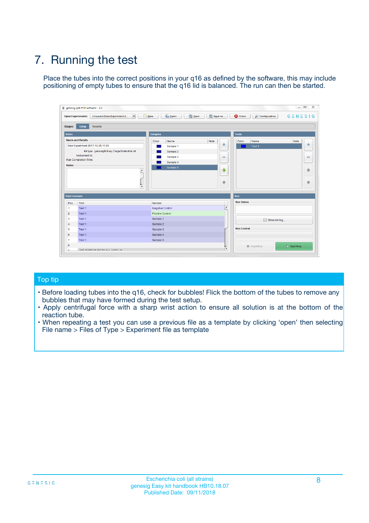# 7. Running the test

Place the tubes into the correct positions in your q16 as defined by the software, this may include positioning of empty tubes to ensure that the q16 lid is balanced. The run can then be started.

| genesig q16 PCR software - 1.2                                               |                                | $\begin{array}{c c c c} \hline \multicolumn{3}{c }{\textbf{0}} & \multicolumn{3}{c }{\textbf{0}} \end{array}$ |                              |
|------------------------------------------------------------------------------|--------------------------------|---------------------------------------------------------------------------------------------------------------|------------------------------|
| $\vert \cdot \vert$<br><b>Open Experiments:</b><br>Unsaved (New Experiment 2 | Open<br>Save<br>$\sqrt{9}$ New | Save As<br><b>C</b> Close<br>$G \equiv N \equiv S \mid G$<br><b>X</b> Configuration                           |                              |
| Setup<br><b>Results</b><br><b>Stages:</b>                                    |                                |                                                                                                               |                              |
| <b>Notes</b>                                                                 | <b>Samples</b>                 | <b>Tests</b>                                                                                                  |                              |
| <b>Name and Details</b>                                                      | Color<br>Name                  | Note<br>Color<br>Note<br>Name                                                                                 |                              |
| New Experiment 2017-10-26 11:06                                              | Sample 1                       | ÷<br>Test <sub>1</sub>                                                                                        | ÷                            |
| Kit type: genesig® Easy Target Detection kit                                 | Sample 2                       |                                                                                                               |                              |
| Instrument Id.:                                                              | Sample 3                       | $\qquad \qquad \blacksquare$                                                                                  | $\qquad \qquad \blacksquare$ |
| <b>Run Completion Time:</b>                                                  | Sample 4                       |                                                                                                               |                              |
| <b>Notes</b><br>A<br>⊺៴                                                      | Sample 5                       | $\triangle$<br>$\oplus$                                                                                       | 借<br>₩                       |
| <b>Well Contents</b>                                                         |                                | Run                                                                                                           |                              |
| Pos.<br><b>Test</b>                                                          | Sample                         | <b>Run Status</b>                                                                                             |                              |
| Test 1<br>-1                                                                 | <b>Negative Control</b>        | $\blacktriangle$                                                                                              |                              |
| $\overline{2}$<br>Test 1                                                     | <b>Positive Control</b>        |                                                                                                               |                              |
| 3<br>Test 1                                                                  | Sample 1                       | Show full log                                                                                                 |                              |
| Test 1<br>$\overline{4}$                                                     | Sample 2                       |                                                                                                               |                              |
| 5<br>Test 1                                                                  | Sample 3                       | <b>Run Control</b>                                                                                            |                              |
| Test 1<br>6                                                                  | Sample 4                       |                                                                                                               |                              |
| $\overline{7}$<br>Test 1                                                     | Sample 5                       |                                                                                                               |                              |
| 8                                                                            |                                | $\triangleright$ Start Run<br>Abort Run                                                                       |                              |
| <b>JOD FURTY TUDE TO BUILDED IN</b>                                          |                                | $\overline{\mathbf{v}}$                                                                                       |                              |

#### Top tip

- Before loading tubes into the q16, check for bubbles! Flick the bottom of the tubes to remove any bubbles that may have formed during the test setup.
- Apply centrifugal force with a sharp wrist action to ensure all solution is at the bottom of the reaction tube.
- When repeating a test you can use a previous file as a template by clicking 'open' then selecting File name > Files of Type > Experiment file as template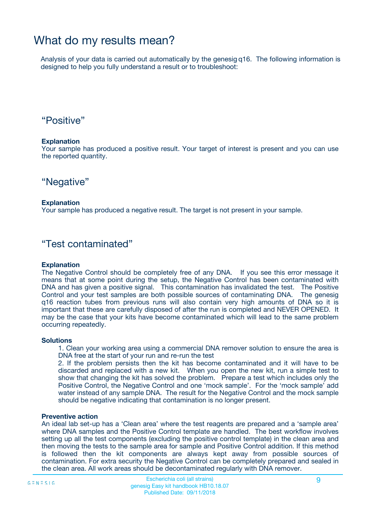## What do my results mean?

Analysis of your data is carried out automatically by the genesig q16. The following information is designed to help you fully understand a result or to troubleshoot:

### "Positive"

#### **Explanation**

Your sample has produced a positive result. Your target of interest is present and you can use the reported quantity.

"Negative"

#### **Explanation**

Your sample has produced a negative result. The target is not present in your sample.

### "Test contaminated"

#### **Explanation**

The Negative Control should be completely free of any DNA. If you see this error message it means that at some point during the setup, the Negative Control has been contaminated with DNA and has given a positive signal. This contamination has invalidated the test. The Positive Control and your test samples are both possible sources of contaminating DNA. The genesig q16 reaction tubes from previous runs will also contain very high amounts of DNA so it is important that these are carefully disposed of after the run is completed and NEVER OPENED. It may be the case that your kits have become contaminated which will lead to the same problem occurring repeatedly.

#### **Solutions**

1. Clean your working area using a commercial DNA remover solution to ensure the area is DNA free at the start of your run and re-run the test

2. If the problem persists then the kit has become contaminated and it will have to be discarded and replaced with a new kit. When you open the new kit, run a simple test to show that changing the kit has solved the problem. Prepare a test which includes only the Positive Control, the Negative Control and one 'mock sample'. For the 'mock sample' add water instead of any sample DNA. The result for the Negative Control and the mock sample should be negative indicating that contamination is no longer present.

#### **Preventive action**

An ideal lab set-up has a 'Clean area' where the test reagents are prepared and a 'sample area' where DNA samples and the Positive Control template are handled. The best workflow involves setting up all the test components (excluding the positive control template) in the clean area and then moving the tests to the sample area for sample and Positive Control addition. If this method is followed then the kit components are always kept away from possible sources of contamination. For extra security the Negative Control can be completely prepared and sealed in the clean area. All work areas should be decontaminated regularly with DNA remover.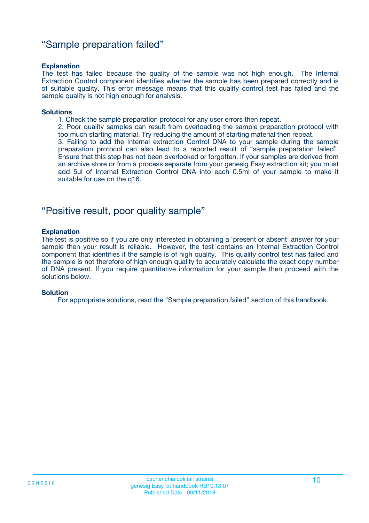### "Sample preparation failed"

#### **Explanation**

The test has failed because the quality of the sample was not high enough. The Internal Extraction Control component identifies whether the sample has been prepared correctly and is of suitable quality. This error message means that this quality control test has failed and the sample quality is not high enough for analysis.

#### **Solutions**

1. Check the sample preparation protocol for any user errors then repeat.

2. Poor quality samples can result from overloading the sample preparation protocol with too much starting material. Try reducing the amount of starting material then repeat.

3. Failing to add the Internal extraction Control DNA to your sample during the sample preparation protocol can also lead to a reported result of "sample preparation failed". Ensure that this step has not been overlooked or forgotten. If your samples are derived from an archive store or from a process separate from your genesig Easy extraction kit; you must add 5µl of Internal Extraction Control DNA into each 0.5ml of your sample to make it suitable for use on the q16.

### "Positive result, poor quality sample"

#### **Explanation**

The test is positive so if you are only interested in obtaining a 'present or absent' answer for your sample then your result is reliable. However, the test contains an Internal Extraction Control component that identifies if the sample is of high quality. This quality control test has failed and the sample is not therefore of high enough quality to accurately calculate the exact copy number of DNA present. If you require quantitative information for your sample then proceed with the solutions below.

#### **Solution**

For appropriate solutions, read the "Sample preparation failed" section of this handbook.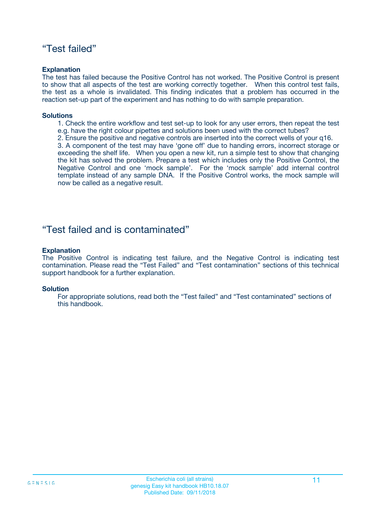### "Test failed"

#### **Explanation**

The test has failed because the Positive Control has not worked. The Positive Control is present to show that all aspects of the test are working correctly together. When this control test fails, the test as a whole is invalidated. This finding indicates that a problem has occurred in the reaction set-up part of the experiment and has nothing to do with sample preparation.

#### **Solutions**

- 1. Check the entire workflow and test set-up to look for any user errors, then repeat the test e.g. have the right colour pipettes and solutions been used with the correct tubes?
- 2. Ensure the positive and negative controls are inserted into the correct wells of your q16.

3. A component of the test may have 'gone off' due to handing errors, incorrect storage or exceeding the shelf life. When you open a new kit, run a simple test to show that changing the kit has solved the problem. Prepare a test which includes only the Positive Control, the Negative Control and one 'mock sample'. For the 'mock sample' add internal control template instead of any sample DNA. If the Positive Control works, the mock sample will now be called as a negative result.

### "Test failed and is contaminated"

#### **Explanation**

The Positive Control is indicating test failure, and the Negative Control is indicating test contamination. Please read the "Test Failed" and "Test contamination" sections of this technical support handbook for a further explanation.

#### **Solution**

For appropriate solutions, read both the "Test failed" and "Test contaminated" sections of this handbook.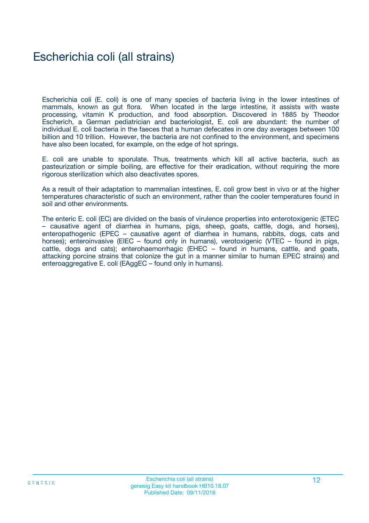## Escherichia coli (all strains)

Escherichia coli (E. coli) is one of many species of bacteria living in the lower intestines of mammals, known as gut flora. When located in the large intestine, it assists with waste processing, vitamin K production, and food absorption. Discovered in 1885 by Theodor Escherich, a German pediatrician and bacteriologist, E. coli are abundant: the number of individual E. coli bacteria in the faeces that a human defecates in one day averages between 100 billion and 10 trillion. However, the bacteria are not confined to the environment, and specimens have also been located, for example, on the edge of hot springs.

E. coli are unable to sporulate. Thus, treatments which kill all active bacteria, such as pasteurization or simple boiling, are effective for their eradication, without requiring the more rigorous sterilization which also deactivates spores.

As a result of their adaptation to mammalian intestines, E. coli grow best in vivo or at the higher temperatures characteristic of such an environment, rather than the cooler temperatures found in soil and other environments.

The enteric E. coli (EC) are divided on the basis of virulence properties into enterotoxigenic (ETEC – causative agent of diarrhea in humans, pigs, sheep, goats, cattle, dogs, and horses), enteropathogenic (EPEC – causative agent of diarrhea in humans, rabbits, dogs, cats and horses); enteroinvasive (EIEC – found only in humans), verotoxigenic (VTEC – found in pigs, cattle, dogs and cats); enterohaemorrhagic (EHEC – found in humans, cattle, and goats, attacking porcine strains that colonize the gut in a manner similar to human EPEC strains) and enteroaggregative E. coli (EAggEC – found only in humans).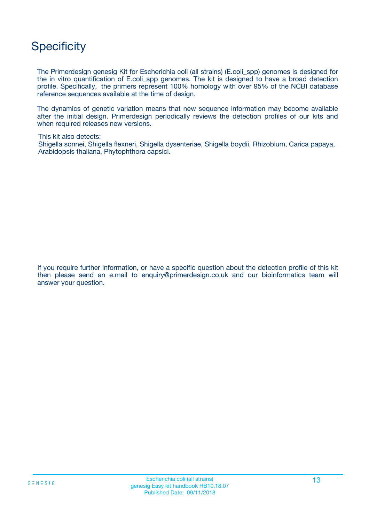## **Specificity**

The Primerdesign genesig Kit for Escherichia coli (all strains) (E.coli\_spp) genomes is designed for the in vitro quantification of E.coli\_spp genomes. The kit is designed to have a broad detection profile. Specifically, the primers represent 100% homology with over 95% of the NCBI database reference sequences available at the time of design.

The dynamics of genetic variation means that new sequence information may become available after the initial design. Primerdesign periodically reviews the detection profiles of our kits and when required releases new versions.

This kit also detects:

Shigella sonnei, Shigella flexneri, Shigella dysenteriae, Shigella boydii, Rhizobium, Carica papaya, Arabidopsis thaliana, Phytophthora capsici.

If you require further information, or have a specific question about the detection profile of this kit then please send an e.mail to enquiry@primerdesign.co.uk and our bioinformatics team will answer your question.